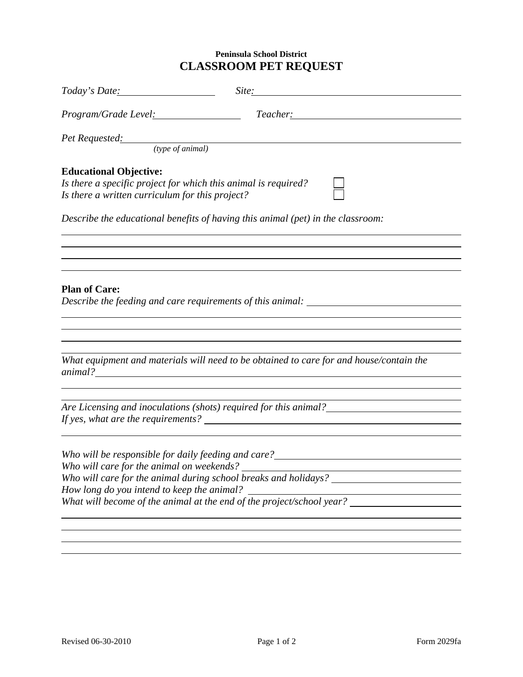## **Peninsula School District CLASSROOM PET REQUEST**

| Program/Grade Level: <u>contained</u><br>Teacher: The Contract of the Contract of the Contract of the Contract of the Contract of the Contract of the Contract of the Contract of the Contract of the Contract of the Contract of the Contract of the Contract of the C<br>Pet Requested: (type of animal)<br><b>Educational Objective:</b><br>Is there a specific project for which this animal is required?<br>Is there a written curriculum for this project?<br>Describe the educational benefits of having this animal (pet) in the classroom:<br>,我们也不会有什么。""我们的人,我们也不会有什么?""我们的人,我们也不会有什么?""我们的人,我们也不会有什么?""我们的人,我们也不会有什么?""我们的人<br><b>Plan of Care:</b><br>Describe the feeding and care requirements of this animal:<br>,我们也不会有什么。""我们的人,我们也不会有什么?""我们的人,我们也不会有什么?""我们的人,我们也不会有什么?""我们的人,我们也不会有什么?""我们的人<br>What equipment and materials will need to be obtained to care for and house/contain the<br><u> 1989 - John Stoff, deutscher Stoff, der Stoff, deutscher Stoff, der Stoff, der Stoff, der Stoff, der Stoff, d</u><br>Who will be responsible for daily feeding and care?______________________________<br>Who will care for the animal on weekends? ______<br>Who will care for the animal during school breaks and holidays? ____<br>How long do you intend to keep the animal?<br>What will become of the animal at the end of the project/school year? | Today's Date: <u>and the set of the set of the set of the set of the set of the set of the set of the set of the set of the set of the set of the set of the set of the set of the set of the set of the set of the set of the s</u> | Site: Site: |
|-------------------------------------------------------------------------------------------------------------------------------------------------------------------------------------------------------------------------------------------------------------------------------------------------------------------------------------------------------------------------------------------------------------------------------------------------------------------------------------------------------------------------------------------------------------------------------------------------------------------------------------------------------------------------------------------------------------------------------------------------------------------------------------------------------------------------------------------------------------------------------------------------------------------------------------------------------------------------------------------------------------------------------------------------------------------------------------------------------------------------------------------------------------------------------------------------------------------------------------------------------------------------------------------------------------------------------------------------------------------------------|--------------------------------------------------------------------------------------------------------------------------------------------------------------------------------------------------------------------------------------|-------------|
|                                                                                                                                                                                                                                                                                                                                                                                                                                                                                                                                                                                                                                                                                                                                                                                                                                                                                                                                                                                                                                                                                                                                                                                                                                                                                                                                                                               |                                                                                                                                                                                                                                      |             |
|                                                                                                                                                                                                                                                                                                                                                                                                                                                                                                                                                                                                                                                                                                                                                                                                                                                                                                                                                                                                                                                                                                                                                                                                                                                                                                                                                                               |                                                                                                                                                                                                                                      |             |
|                                                                                                                                                                                                                                                                                                                                                                                                                                                                                                                                                                                                                                                                                                                                                                                                                                                                                                                                                                                                                                                                                                                                                                                                                                                                                                                                                                               |                                                                                                                                                                                                                                      |             |
|                                                                                                                                                                                                                                                                                                                                                                                                                                                                                                                                                                                                                                                                                                                                                                                                                                                                                                                                                                                                                                                                                                                                                                                                                                                                                                                                                                               |                                                                                                                                                                                                                                      |             |
|                                                                                                                                                                                                                                                                                                                                                                                                                                                                                                                                                                                                                                                                                                                                                                                                                                                                                                                                                                                                                                                                                                                                                                                                                                                                                                                                                                               |                                                                                                                                                                                                                                      |             |
|                                                                                                                                                                                                                                                                                                                                                                                                                                                                                                                                                                                                                                                                                                                                                                                                                                                                                                                                                                                                                                                                                                                                                                                                                                                                                                                                                                               |                                                                                                                                                                                                                                      |             |
|                                                                                                                                                                                                                                                                                                                                                                                                                                                                                                                                                                                                                                                                                                                                                                                                                                                                                                                                                                                                                                                                                                                                                                                                                                                                                                                                                                               |                                                                                                                                                                                                                                      |             |
|                                                                                                                                                                                                                                                                                                                                                                                                                                                                                                                                                                                                                                                                                                                                                                                                                                                                                                                                                                                                                                                                                                                                                                                                                                                                                                                                                                               |                                                                                                                                                                                                                                      |             |
|                                                                                                                                                                                                                                                                                                                                                                                                                                                                                                                                                                                                                                                                                                                                                                                                                                                                                                                                                                                                                                                                                                                                                                                                                                                                                                                                                                               |                                                                                                                                                                                                                                      |             |
|                                                                                                                                                                                                                                                                                                                                                                                                                                                                                                                                                                                                                                                                                                                                                                                                                                                                                                                                                                                                                                                                                                                                                                                                                                                                                                                                                                               |                                                                                                                                                                                                                                      |             |
|                                                                                                                                                                                                                                                                                                                                                                                                                                                                                                                                                                                                                                                                                                                                                                                                                                                                                                                                                                                                                                                                                                                                                                                                                                                                                                                                                                               |                                                                                                                                                                                                                                      |             |